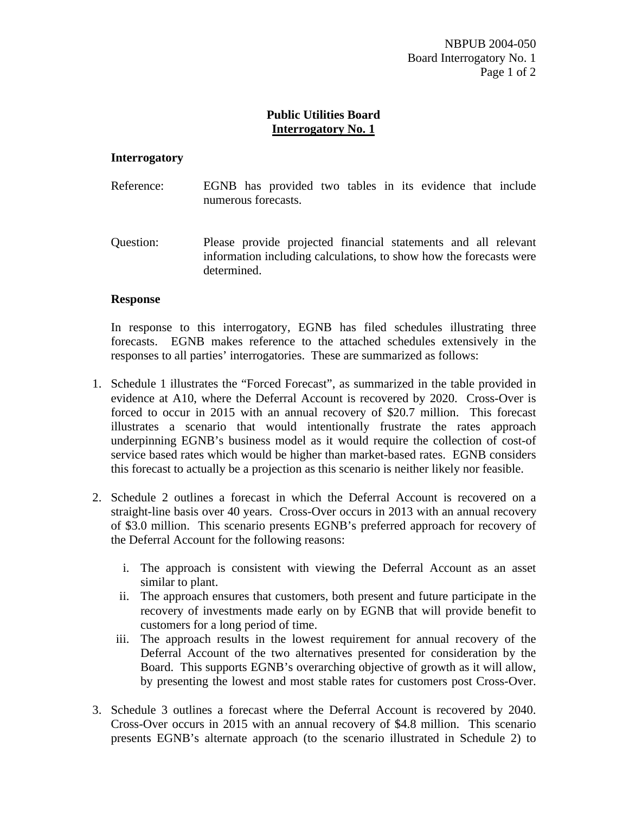### **Interrogatory**

- Reference: EGNB has provided two tables in its evidence that include numerous forecasts.
- Question: Please provide projected financial statements and all relevant information including calculations, to show how the forecasts were determined.

#### **Response**

In response to this interrogatory, EGNB has filed schedules illustrating three forecasts. EGNB makes reference to the attached schedules extensively in the responses to all parties' interrogatories. These are summarized as follows:

- 1. Schedule 1 illustrates the "Forced Forecast", as summarized in the table provided in evidence at A10, where the Deferral Account is recovered by 2020. Cross-Over is forced to occur in 2015 with an annual recovery of \$20.7 million. This forecast illustrates a scenario that would intentionally frustrate the rates approach underpinning EGNB's business model as it would require the collection of cost-of service based rates which would be higher than market-based rates. EGNB considers this forecast to actually be a projection as this scenario is neither likely nor feasible.
- 2. Schedule 2 outlines a forecast in which the Deferral Account is recovered on a straight-line basis over 40 years. Cross-Over occurs in 2013 with an annual recovery of \$3.0 million. This scenario presents EGNB's preferred approach for recovery of the Deferral Account for the following reasons:
	- i. The approach is consistent with viewing the Deferral Account as an asset similar to plant.
	- ii. The approach ensures that customers, both present and future participate in the recovery of investments made early on by EGNB that will provide benefit to customers for a long period of time.
	- iii. The approach results in the lowest requirement for annual recovery of the Deferral Account of the two alternatives presented for consideration by the Board. This supports EGNB's overarching objective of growth as it will allow, by presenting the lowest and most stable rates for customers post Cross-Over.
- 3. Schedule 3 outlines a forecast where the Deferral Account is recovered by 2040. Cross-Over occurs in 2015 with an annual recovery of \$4.8 million. This scenario presents EGNB's alternate approach (to the scenario illustrated in Schedule 2) to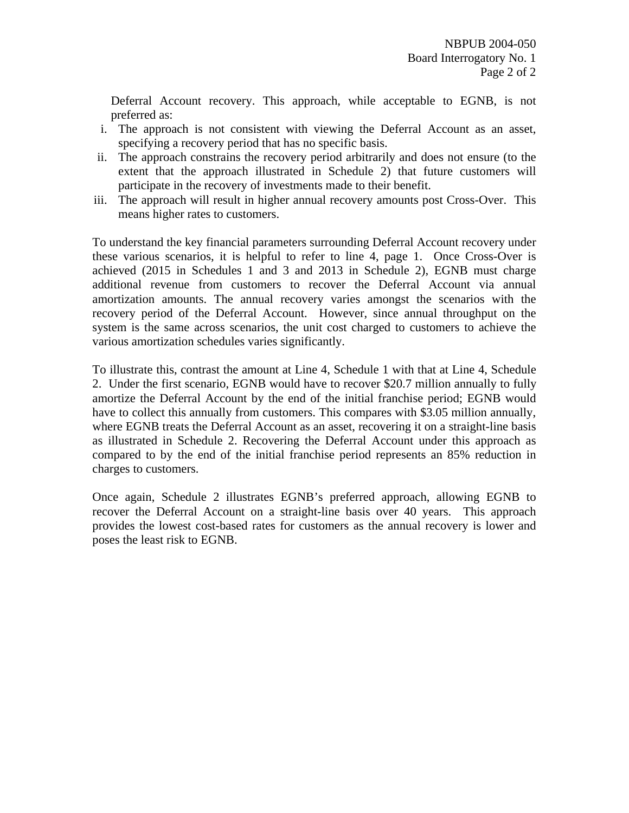Deferral Account recovery. This approach, while acceptable to EGNB, is not preferred as:

- i. The approach is not consistent with viewing the Deferral Account as an asset, specifying a recovery period that has no specific basis.
- ii. The approach constrains the recovery period arbitrarily and does not ensure (to the extent that the approach illustrated in Schedule 2) that future customers will participate in the recovery of investments made to their benefit.
- iii. The approach will result in higher annual recovery amounts post Cross-Over. This means higher rates to customers.

To understand the key financial parameters surrounding Deferral Account recovery under these various scenarios, it is helpful to refer to line 4, page 1. Once Cross-Over is achieved (2015 in Schedules 1 and 3 and 2013 in Schedule 2), EGNB must charge additional revenue from customers to recover the Deferral Account via annual amortization amounts. The annual recovery varies amongst the scenarios with the recovery period of the Deferral Account. However, since annual throughput on the system is the same across scenarios, the unit cost charged to customers to achieve the various amortization schedules varies significantly.

To illustrate this, contrast the amount at Line 4, Schedule 1 with that at Line 4, Schedule 2. Under the first scenario, EGNB would have to recover \$20.7 million annually to fully amortize the Deferral Account by the end of the initial franchise period; EGNB would have to collect this annually from customers. This compares with \$3.05 million annually, where EGNB treats the Deferral Account as an asset, recovering it on a straight-line basis as illustrated in Schedule 2. Recovering the Deferral Account under this approach as compared to by the end of the initial franchise period represents an 85% reduction in charges to customers.

Once again, Schedule 2 illustrates EGNB's preferred approach, allowing EGNB to recover the Deferral Account on a straight-line basis over 40 years. This approach provides the lowest cost-based rates for customers as the annual recovery is lower and poses the least risk to EGNB.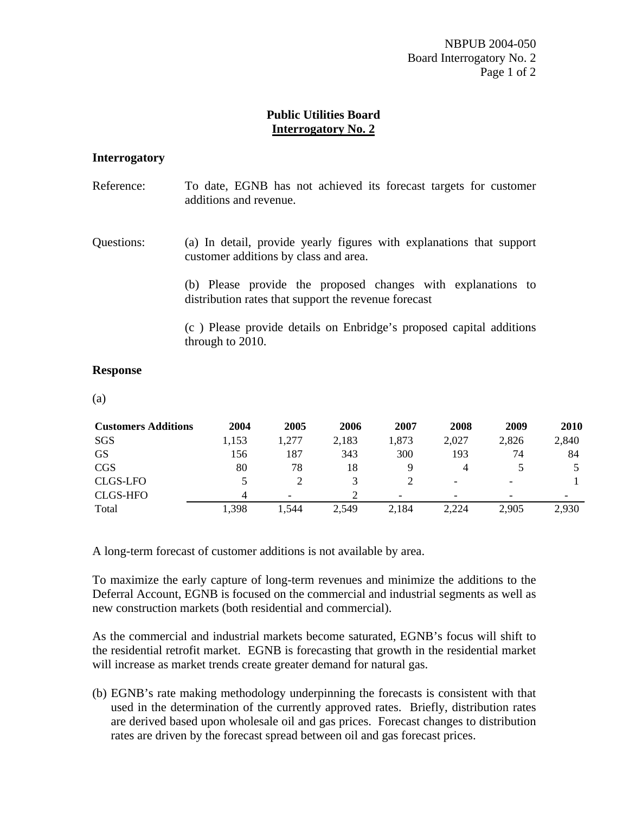#### **Interrogatory**

- Reference: To date, EGNB has not achieved its forecast targets for customer additions and revenue.
- Questions: (a) In detail, provide yearly figures with explanations that support customer additions by class and area.

(b) Please provide the proposed changes with explanations to distribution rates that support the revenue forecast

(c ) Please provide details on Enbridge's proposed capital additions through to 2010.

#### **Response**

(a)

| <b>Customers Additions</b> | 2004  | 2005 | 2006  | 2007                     | 2008                     | 2009                     | 2010  |
|----------------------------|-------|------|-------|--------------------------|--------------------------|--------------------------|-------|
| SGS                        | 1,153 | ,277 | 2,183 | 1,873                    | 2,027                    | 2,826                    | 2,840 |
| GS                         | 156   | 187  | 343   | 300                      | 193                      | 74                       | 84    |
| <b>CGS</b>                 | 80    | 78   | 18    |                          |                          |                          |       |
| CLGS-LFO                   |       |      |       |                          |                          | $\overline{\phantom{0}}$ |       |
| CLGS-HFO                   |       |      |       | $\overline{\phantom{0}}$ | $\overline{\phantom{0}}$ | $\overline{\phantom{0}}$ |       |
| Total                      | 1.398 | .544 | 2.549 | 2,184                    | 2,224                    | 2,905                    | 2.930 |

A long-term forecast of customer additions is not available by area.

To maximize the early capture of long-term revenues and minimize the additions to the Deferral Account, EGNB is focused on the commercial and industrial segments as well as new construction markets (both residential and commercial).

As the commercial and industrial markets become saturated, EGNB's focus will shift to the residential retrofit market. EGNB is forecasting that growth in the residential market will increase as market trends create greater demand for natural gas.

(b) EGNB's rate making methodology underpinning the forecasts is consistent with that used in the determination of the currently approved rates. Briefly, distribution rates are derived based upon wholesale oil and gas prices. Forecast changes to distribution rates are driven by the forecast spread between oil and gas forecast prices.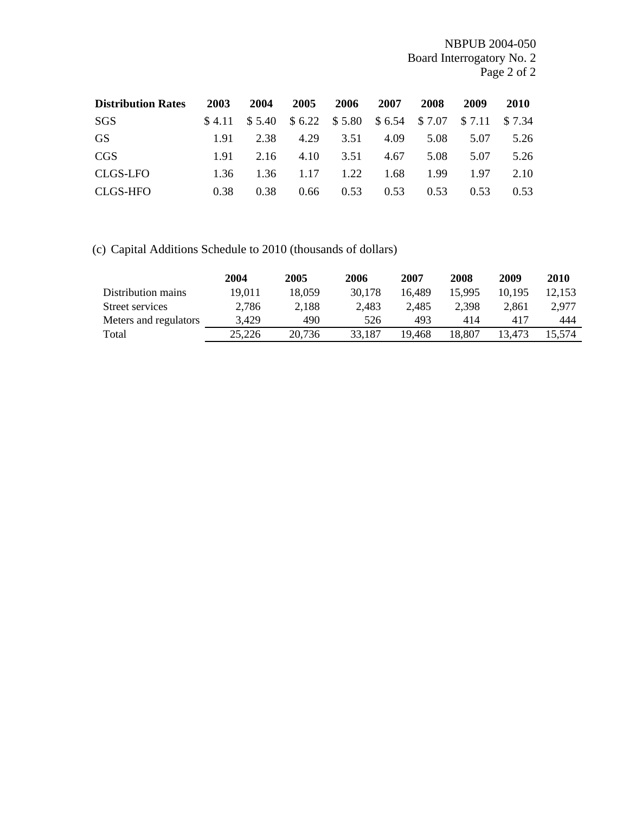| <b>Distribution Rates</b> | 2003 | 2004 | 2005                                                            | 2006                           | 2007           | 2008 | 2009 | 2010 |
|---------------------------|------|------|-----------------------------------------------------------------|--------------------------------|----------------|------|------|------|
| SGS                       |      |      | $$4.11$ $$5.40$ $$6.22$ $$5.80$ $$6.54$ $$7.07$ $$7.11$ $$7.34$ |                                |                |      |      |      |
| <b>GS</b>                 | 1.91 | 2.38 | 4.29                                                            |                                | 3.51 4.09 5.08 |      | 5.07 | 5.26 |
| <b>CGS</b>                | 1.91 |      | 2.16 4.10                                                       |                                | 3.51 4.67      | 5.08 | 5.07 | 5.26 |
| CLGS-LFO                  | 1.36 | 1.36 |                                                                 | $1.17 \t 1.22 \t 1.68 \t 1.99$ |                |      | 1.97 | 2.10 |
| CLGS-HFO                  | 0.38 | 0.38 | 0.66                                                            | 0.53                           | 0.53           | 0.53 | 0.53 | 0.53 |

# (c) Capital Additions Schedule to 2010 (thousands of dollars)

|                       | 2004   | 2005   | 2006   | 2007   | 2008   | 2009   | 2010   |
|-----------------------|--------|--------|--------|--------|--------|--------|--------|
| Distribution mains    | 19,011 | 18,059 | 30,178 | 16.489 | 15.995 | 10.195 | 12.153 |
| Street services       | 2,786  | 2,188  | 2,483  | 2.485  | 2,398  | 2.861  | 2,977  |
| Meters and regulators | 3.429  | 490    | 526    | 493    | 414    | 417    | 444    |
| Total                 | 25,226 | 20,736 | 33,187 | 19.468 | 18,807 | 13.473 | 15,574 |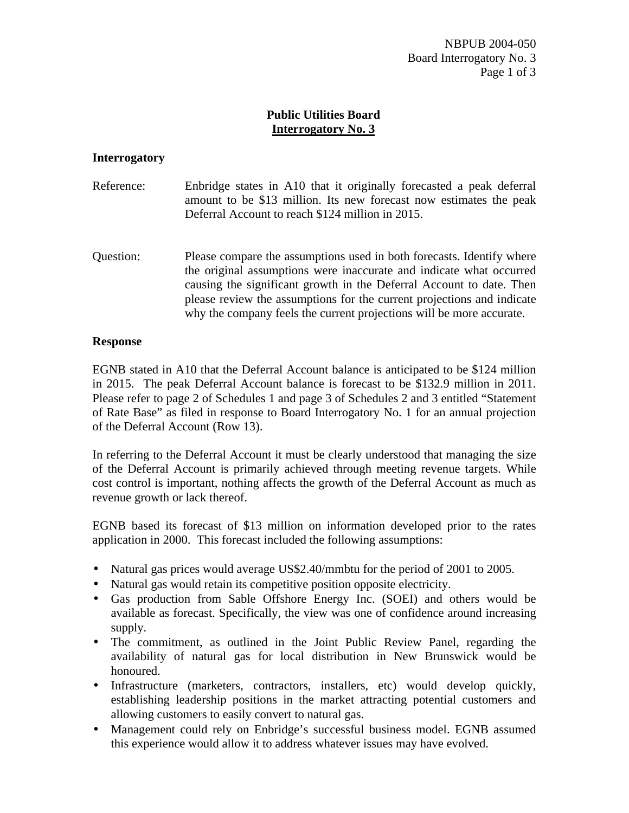### **Interrogatory**

- Reference: Enbridge states in A10 that it originally forecasted a peak deferral amount to be \$13 million. Its new forecast now estimates the peak Deferral Account to reach \$124 million in 2015.
- Question: Please compare the assumptions used in both forecasts. Identify where the original assumptions were inaccurate and indicate what occurred causing the significant growth in the Deferral Account to date. Then please review the assumptions for the current projections and indicate why the company feels the current projections will be more accurate.

#### **Response**

EGNB stated in A10 that the Deferral Account balance is anticipated to be \$124 million in 2015. The peak Deferral Account balance is forecast to be \$132.9 million in 2011. Please refer to page 2 of Schedules 1 and page 3 of Schedules 2 and 3 entitled "Statement of Rate Base" as filed in response to Board Interrogatory No. 1 for an annual projection of the Deferral Account (Row 13).

In referring to the Deferral Account it must be clearly understood that managing the size of the Deferral Account is primarily achieved through meeting revenue targets. While cost control is important, nothing affects the growth of the Deferral Account as much as revenue growth or lack thereof.

EGNB based its forecast of \$13 million on information developed prior to the rates application in 2000. This forecast included the following assumptions:

- Natural gas prices would average US\$2.40/mmbtu for the period of 2001 to 2005.
- Natural gas would retain its competitive position opposite electricity.
- Gas production from Sable Offshore Energy Inc. (SOEI) and others would be available as forecast. Specifically, the view was one of confidence around increasing supply.
- The commitment, as outlined in the Joint Public Review Panel, regarding the availability of natural gas for local distribution in New Brunswick would be honoured.
- Infrastructure (marketers, contractors, installers, etc) would develop quickly, establishing leadership positions in the market attracting potential customers and allowing customers to easily convert to natural gas.
- Management could rely on Enbridge's successful business model. EGNB assumed this experience would allow it to address whatever issues may have evolved.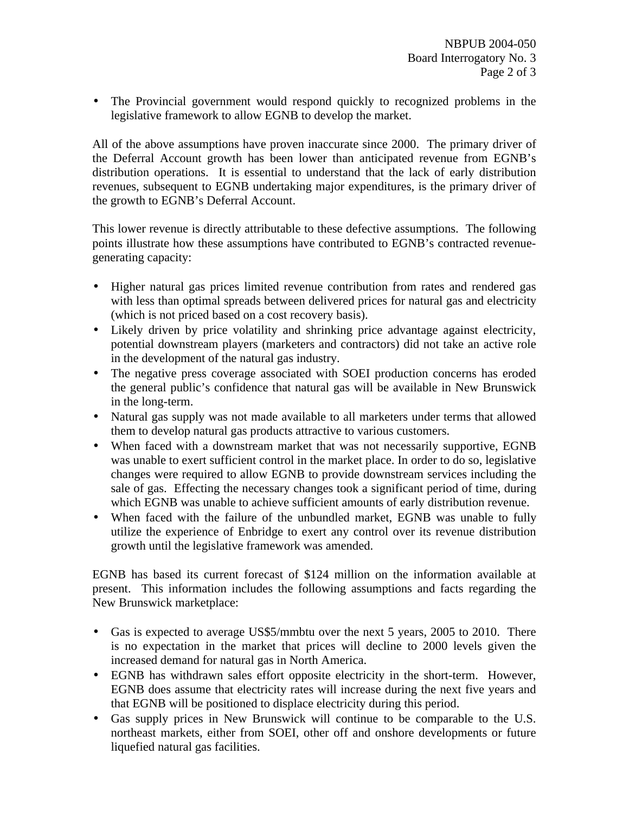• The Provincial government would respond quickly to recognized problems in the legislative framework to allow EGNB to develop the market.

All of the above assumptions have proven inaccurate since 2000. The primary driver of the Deferral Account growth has been lower than anticipated revenue from EGNB's distribution operations. It is essential to understand that the lack of early distribution revenues, subsequent to EGNB undertaking major expenditures, is the primary driver of the growth to EGNB's Deferral Account.

This lower revenue is directly attributable to these defective assumptions. The following points illustrate how these assumptions have contributed to EGNB's contracted revenuegenerating capacity:

- Higher natural gas prices limited revenue contribution from rates and rendered gas with less than optimal spreads between delivered prices for natural gas and electricity (which is not priced based on a cost recovery basis).
- Likely driven by price volatility and shrinking price advantage against electricity, potential downstream players (marketers and contractors) did not take an active role in the development of the natural gas industry.
- The negative press coverage associated with SOEI production concerns has eroded the general public's confidence that natural gas will be available in New Brunswick in the long-term.
- Natural gas supply was not made available to all marketers under terms that allowed them to develop natural gas products attractive to various customers.
- When faced with a downstream market that was not necessarily supportive, EGNB was unable to exert sufficient control in the market place. In order to do so, legislative changes were required to allow EGNB to provide downstream services including the sale of gas. Effecting the necessary changes took a significant period of time, during which EGNB was unable to achieve sufficient amounts of early distribution revenue.
- When faced with the failure of the unbundled market, EGNB was unable to fully utilize the experience of Enbridge to exert any control over its revenue distribution growth until the legislative framework was amended.

EGNB has based its current forecast of \$124 million on the information available at present. This information includes the following assumptions and facts regarding the New Brunswick marketplace:

- Gas is expected to average US\$5/mmbtu over the next 5 years, 2005 to 2010. There is no expectation in the market that prices will decline to 2000 levels given the increased demand for natural gas in North America.
- EGNB has withdrawn sales effort opposite electricity in the short-term. However, EGNB does assume that electricity rates will increase during the next five years and that EGNB will be positioned to displace electricity during this period.
- Gas supply prices in New Brunswick will continue to be comparable to the U.S. northeast markets, either from SOEI, other off and onshore developments or future liquefied natural gas facilities.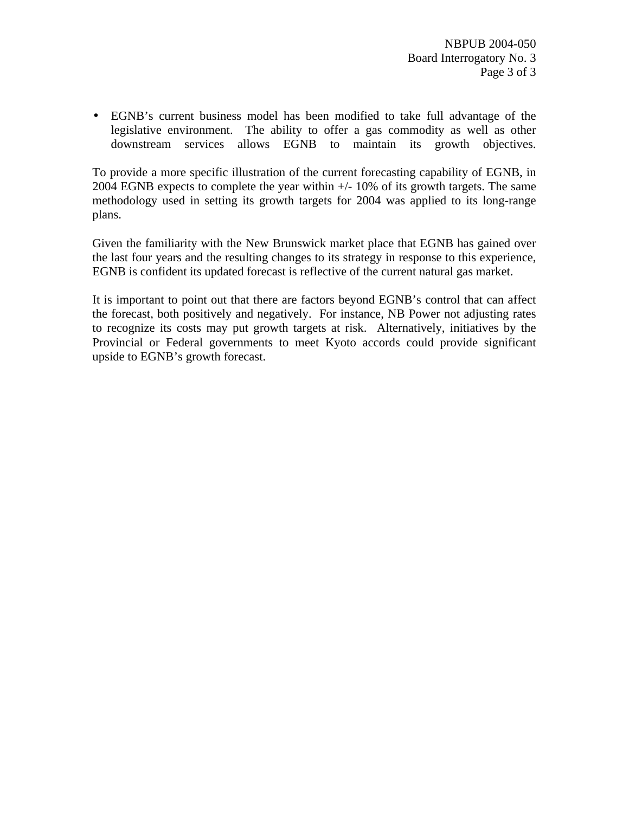• EGNB's current business model has been modified to take full advantage of the legislative environment. The ability to offer a gas commodity as well as other downstream services allows EGNB to maintain its growth objectives.

To provide a more specific illustration of the current forecasting capability of EGNB, in 2004 EGNB expects to complete the year within +/- 10% of its growth targets. The same methodology used in setting its growth targets for 2004 was applied to its long-range plans.

Given the familiarity with the New Brunswick market place that EGNB has gained over the last four years and the resulting changes to its strategy in response to this experience, EGNB is confident its updated forecast is reflective of the current natural gas market.

It is important to point out that there are factors beyond EGNB's control that can affect the forecast, both positively and negatively. For instance, NB Power not adjusting rates to recognize its costs may put growth targets at risk. Alternatively, initiatives by the Provincial or Federal governments to meet Kyoto accords could provide significant upside to EGNB's growth forecast.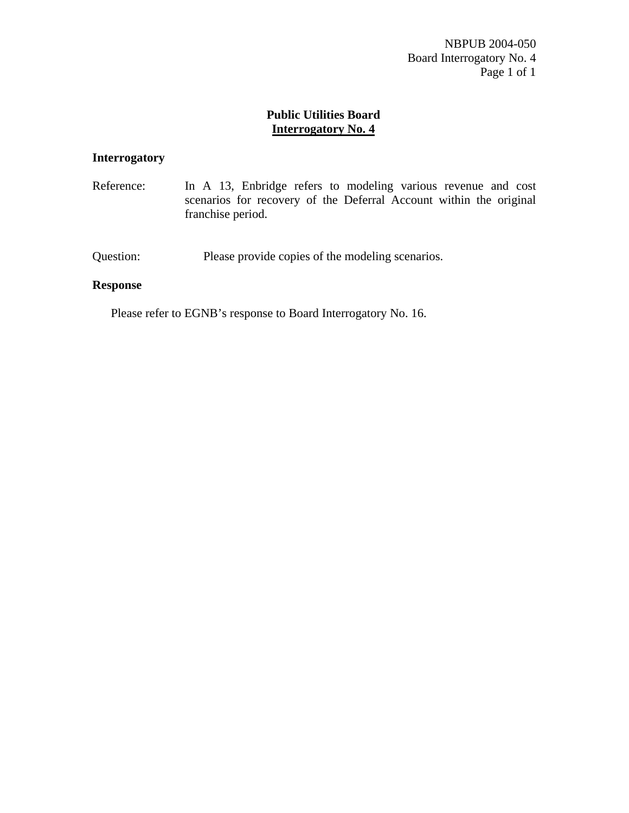## **Interrogatory**

Reference: In A 13, Enbridge refers to modeling various revenue and cost scenarios for recovery of the Deferral Account within the original franchise period.

Question: Please provide copies of the modeling scenarios.

### **Response**

Please refer to EGNB's response to Board Interrogatory No. 16.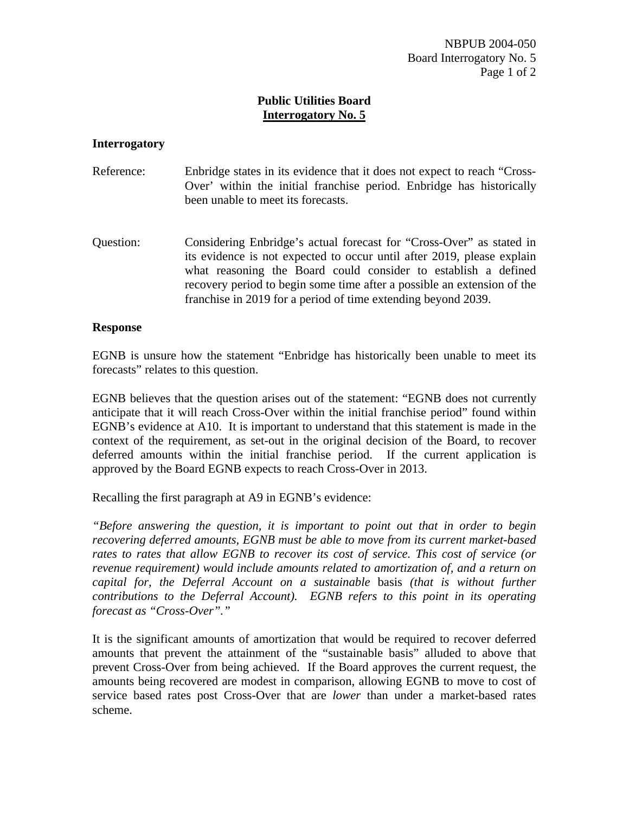#### **Interrogatory**

- Reference: Enbridge states in its evidence that it does not expect to reach "Cross-Over' within the initial franchise period. Enbridge has historically been unable to meet its forecasts.
- Question: Considering Enbridge's actual forecast for "Cross-Over" as stated in its evidence is not expected to occur until after 2019, please explain what reasoning the Board could consider to establish a defined recovery period to begin some time after a possible an extension of the franchise in 2019 for a period of time extending beyond 2039.

#### **Response**

EGNB is unsure how the statement "Enbridge has historically been unable to meet its forecasts" relates to this question.

EGNB believes that the question arises out of the statement: "EGNB does not currently anticipate that it will reach Cross-Over within the initial franchise period" found within EGNB's evidence at A10. It is important to understand that this statement is made in the context of the requirement, as set-out in the original decision of the Board, to recover deferred amounts within the initial franchise period. If the current application is approved by the Board EGNB expects to reach Cross-Over in 2013.

Recalling the first paragraph at A9 in EGNB's evidence:

*"Before answering the question, it is important to point out that in order to begin recovering deferred amounts, EGNB must be able to move from its current market-based rates to rates that allow EGNB to recover its cost of service. This cost of service (or revenue requirement) would include amounts related to amortization of, and a return on capital for, the Deferral Account on a sustainable* basis *(that is without further contributions to the Deferral Account). EGNB refers to this point in its operating forecast as "Cross-Over"."*

It is the significant amounts of amortization that would be required to recover deferred amounts that prevent the attainment of the "sustainable basis" alluded to above that prevent Cross-Over from being achieved. If the Board approves the current request, the amounts being recovered are modest in comparison, allowing EGNB to move to cost of service based rates post Cross-Over that are *lower* than under a market-based rates scheme.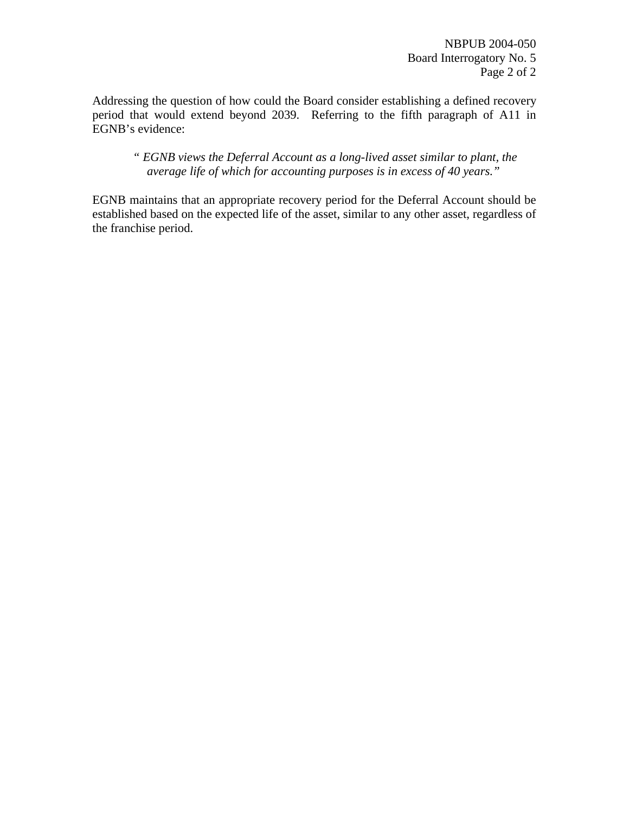Addressing the question of how could the Board consider establishing a defined recovery period that would extend beyond 2039. Referring to the fifth paragraph of A11 in EGNB's evidence:

 *" EGNB views the Deferral Account as a long-lived asset similar to plant, the average life of which for accounting purposes is in excess of 40 years."*

EGNB maintains that an appropriate recovery period for the Deferral Account should be established based on the expected life of the asset, similar to any other asset, regardless of the franchise period.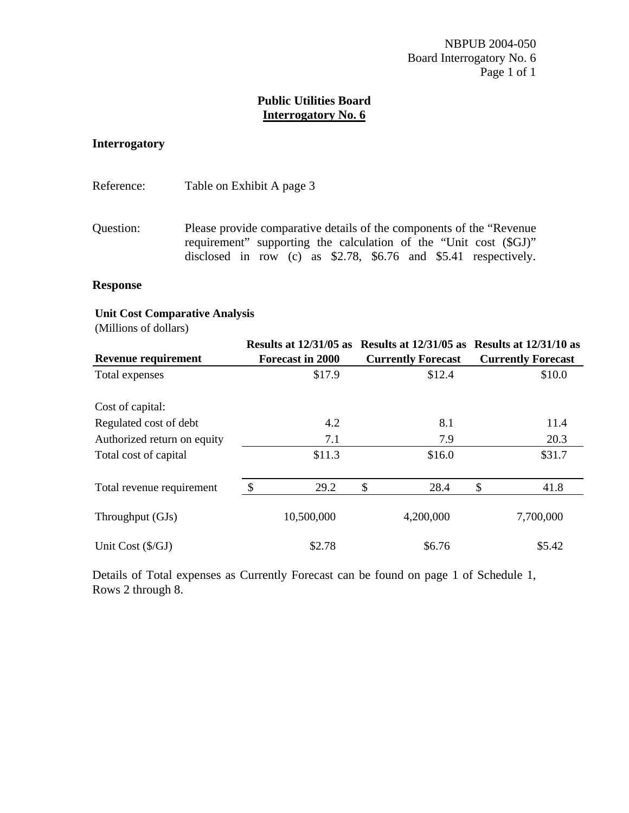### **Interrogatory**

Reference: Table on Exhibit A page 3

Question: Please provide comparative details of the components of the "Revenue requirement" supporting the calculation of the "Unit cost (\$GJ)" disclosed in row (c) as \$2.78, \$6.76 and \$5.41 respectively.

#### **Response**

### **Unit Cost Comparative Analysis**

(Millions of dollars)

|                              | Results at $12/31/05$ as | Results at 12/31/05 as Results at 12/31/10 as |                           |
|------------------------------|--------------------------|-----------------------------------------------|---------------------------|
| <b>Revenue requirement</b>   | <b>Forecast in 2000</b>  | <b>Currently Forecast</b>                     | <b>Currently Forecast</b> |
| Total expenses               | \$17.9                   | \$12.4                                        | \$10.0                    |
| Cost of capital:             |                          |                                               |                           |
| Regulated cost of debt       | 4.2                      | 8.1                                           | 11.4                      |
| Authorized return on equity  | 7.1                      | 7.9                                           | 20.3                      |
| Total cost of capital        | \$11.3                   | \$16.0                                        | \$31.7                    |
| Total revenue requirement    | $\mathcal{S}$<br>29.2    | \$<br>28.4                                    | \$<br>41.8                |
| Throughput (GJs)             | 10,500,000               | 4,200,000                                     | 7,700,000                 |
| Unit Cost $(\frac{C}{3}/GJ)$ | \$2.78                   | \$6.76                                        | \$5.42                    |

Details of Total expenses as Currently Forecast can be found on page 1 of Schedule 1, Rows 2 through 8.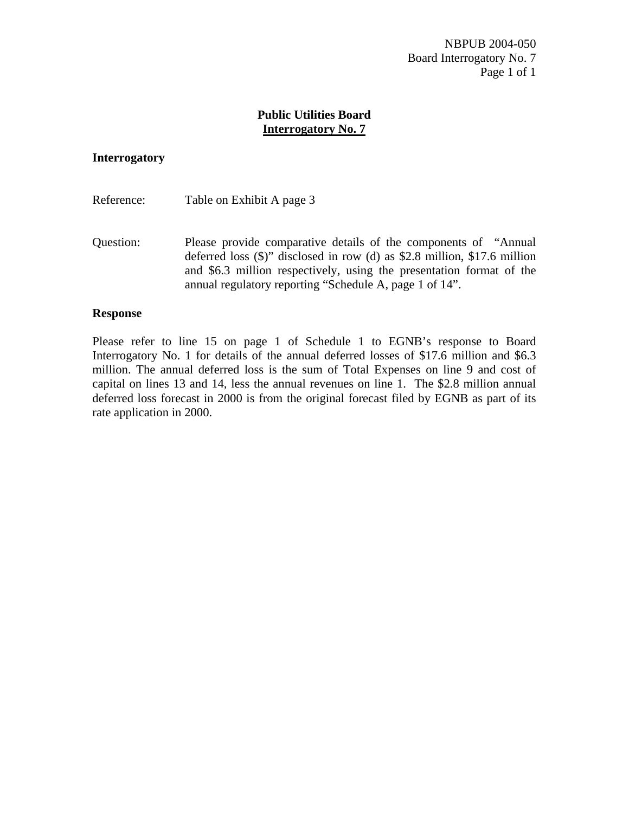#### **Interrogatory**

Reference: Table on Exhibit A page 3

Question: Please provide comparative details of the components of "Annual deferred loss (\$)" disclosed in row (d) as \$2.8 million, \$17.6 million and \$6.3 million respectively, using the presentation format of the annual regulatory reporting "Schedule A, page 1 of 14".

#### **Response**

Please refer to line 15 on page 1 of Schedule 1 to EGNB's response to Board Interrogatory No. 1 for details of the annual deferred losses of \$17.6 million and \$6.3 million. The annual deferred loss is the sum of Total Expenses on line 9 and cost of capital on lines 13 and 14, less the annual revenues on line 1. The \$2.8 million annual deferred loss forecast in 2000 is from the original forecast filed by EGNB as part of its rate application in 2000.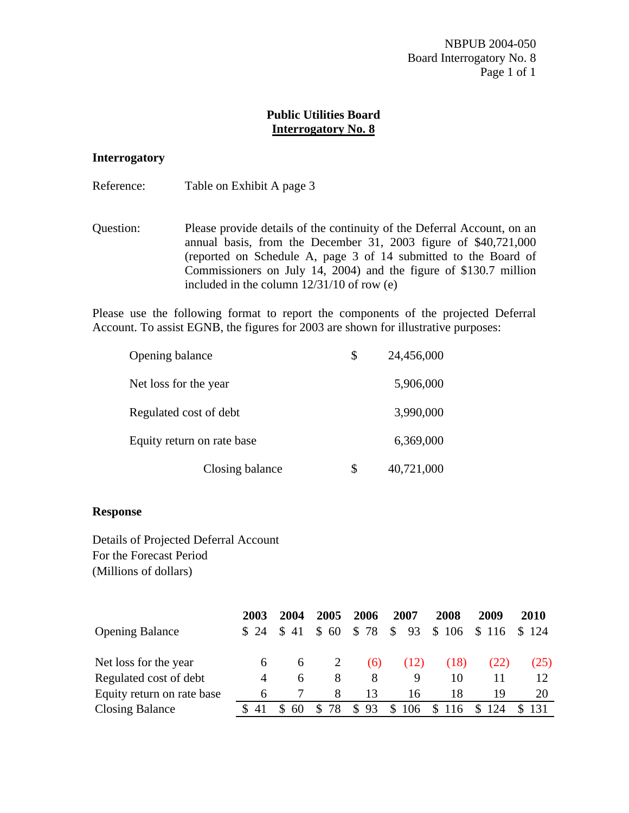#### **Interrogatory**

Reference: Table on Exhibit A page 3

Question: Please provide details of the continuity of the Deferral Account, on an annual basis, from the December 31, 2003 figure of \$40,721,000 (reported on Schedule A, page 3 of 14 submitted to the Board of Commissioners on July 14, 2004) and the figure of \$130.7 million included in the column 12/31/10 of row (e)

Please use the following format to report the components of the projected Deferral Account. To assist EGNB, the figures for 2003 are shown for illustrative purposes:

| Opening balance            | \$<br>24,456,000 |
|----------------------------|------------------|
| Net loss for the year      | 5,906,000        |
| Regulated cost of debt     | 3,990,000        |
| Equity return on rate base | 6,369,000        |
| Closing balance            | \$<br>40,721,000 |

#### **Response**

Details of Projected Deferral Account For the Forecast Period (Millions of dollars)

|                            | 2003           | 2004 | 2005     | 2006     | 2007                  | 2008  | 2009  | 2010  |
|----------------------------|----------------|------|----------|----------|-----------------------|-------|-------|-------|
| <b>Opening Balance</b>     | \$ 24          | \$41 | \$60     | \$78     | $\mathcal{S}$<br>- 93 | \$106 | \$116 | \$124 |
| Net loss for the year      | 6              | 6    |          | (6)      | (12)                  | (18)  | (22)  | (25)  |
| Regulated cost of debt     | 4              | 6    | 8        | 8        | 9                     | 10    |       | 12    |
| Equity return on rate base | h              |      | 8        | 13       | 16                    | 18    | 19    | 20    |
| <b>Closing Balance</b>     | <b>S</b><br>41 | 60   | 78<br>\$ | 93<br>\$ | \$106                 | \$116 | \$124 | \$131 |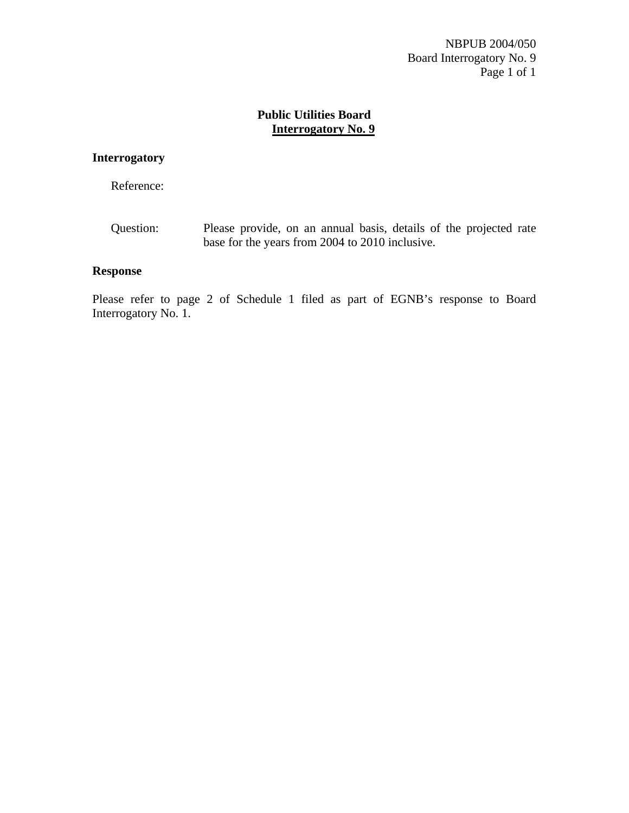# **Interrogatory**

Reference:

Question: Please provide, on an annual basis, details of the projected rate base for the years from 2004 to 2010 inclusive.

# **Response**

Please refer to page 2 of Schedule 1 filed as part of EGNB's response to Board Interrogatory No. 1.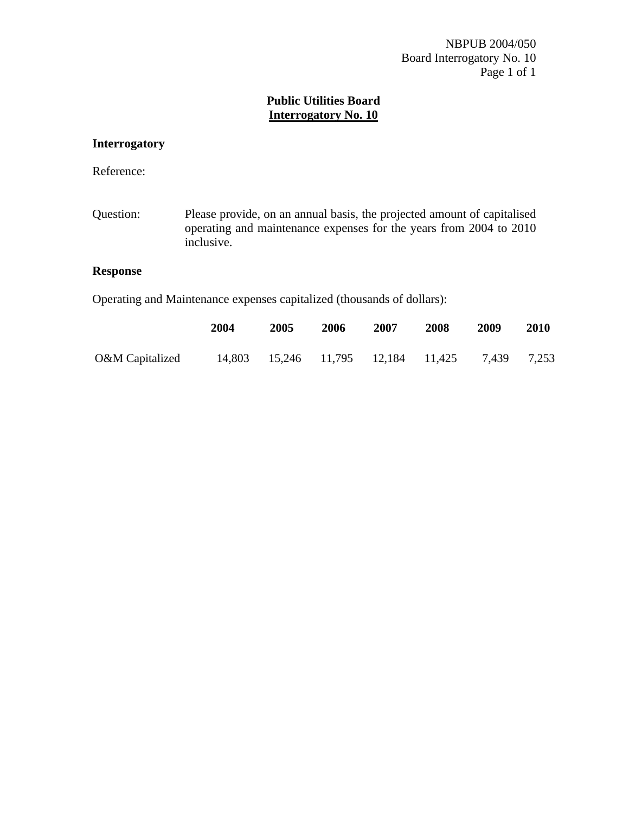# **Interrogatory**

Reference:

Question: Please provide, on an annual basis, the projected amount of capitalised operating and maintenance expenses for the years from 2004 to 2010 inclusive.

## **Response**

Operating and Maintenance expenses capitalized (thousands of dollars):

|                                                                | 2004 | 2005 | 2006 | 2007 | 2008 | 2009 | 2010 |
|----------------------------------------------------------------|------|------|------|------|------|------|------|
| O&M Capitalized 14,803 15,246 11,795 12,184 11,425 7,439 7,253 |      |      |      |      |      |      |      |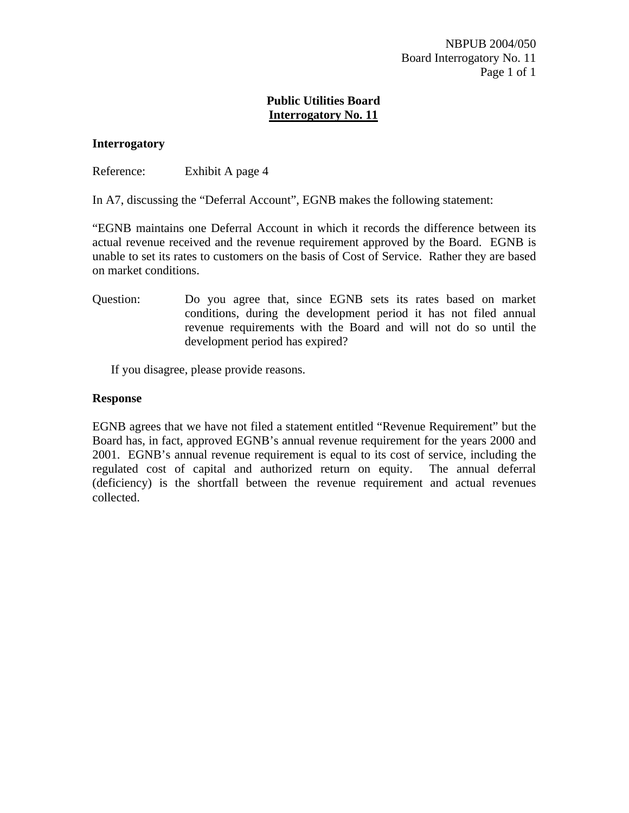#### **Interrogatory**

Reference: Exhibit A page 4

In A7, discussing the "Deferral Account", EGNB makes the following statement:

"EGNB maintains one Deferral Account in which it records the difference between its actual revenue received and the revenue requirement approved by the Board. EGNB is unable to set its rates to customers on the basis of Cost of Service. Rather they are based on market conditions.

Question: Do you agree that, since EGNB sets its rates based on market conditions, during the development period it has not filed annual revenue requirements with the Board and will not do so until the development period has expired?

If you disagree, please provide reasons.

#### **Response**

EGNB agrees that we have not filed a statement entitled "Revenue Requirement" but the Board has, in fact, approved EGNB's annual revenue requirement for the years 2000 and 2001. EGNB's annual revenue requirement is equal to its cost of service, including the regulated cost of capital and authorized return on equity. The annual deferral (deficiency) is the shortfall between the revenue requirement and actual revenues collected.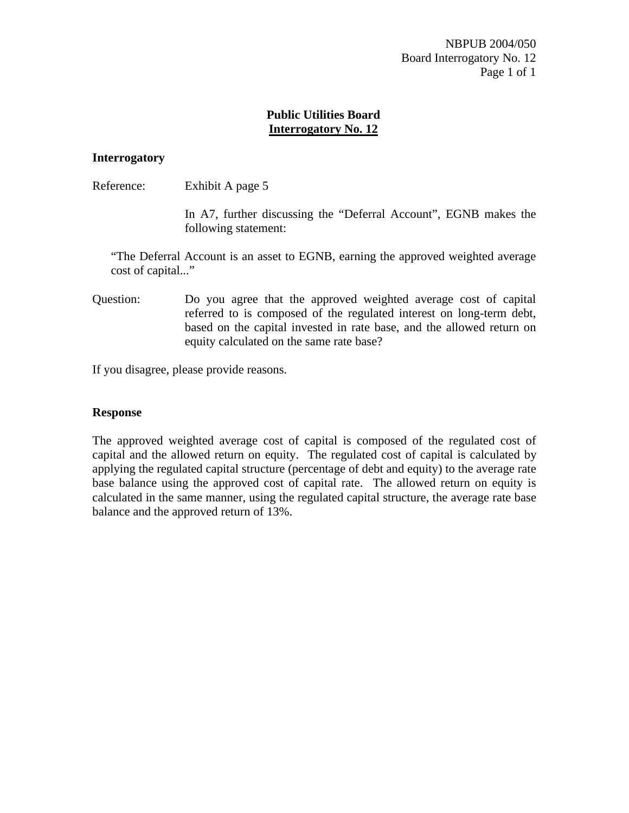#### **Interrogatory**

| Reference: | Exhibit A page 5 |  |
|------------|------------------|--|
|            |                  |  |

In A7, further discussing the "Deferral Account", EGNB makes the following statement:

"The Deferral Account is an asset to EGNB, earning the approved weighted average cost of capital..."

Question: Do you agree that the approved weighted average cost of capital referred to is composed of the regulated interest on long-term debt, based on the capital invested in rate base, and the allowed return on equity calculated on the same rate base?

If you disagree, please provide reasons.

#### **Response**

The approved weighted average cost of capital is composed of the regulated cost of capital and the allowed return on equity. The regulated cost of capital is calculated by applying the regulated capital structure (percentage of debt and equity) to the average rate base balance using the approved cost of capital rate. The allowed return on equity is calculated in the same manner, using the regulated capital structure, the average rate base balance and the approved return of 13%.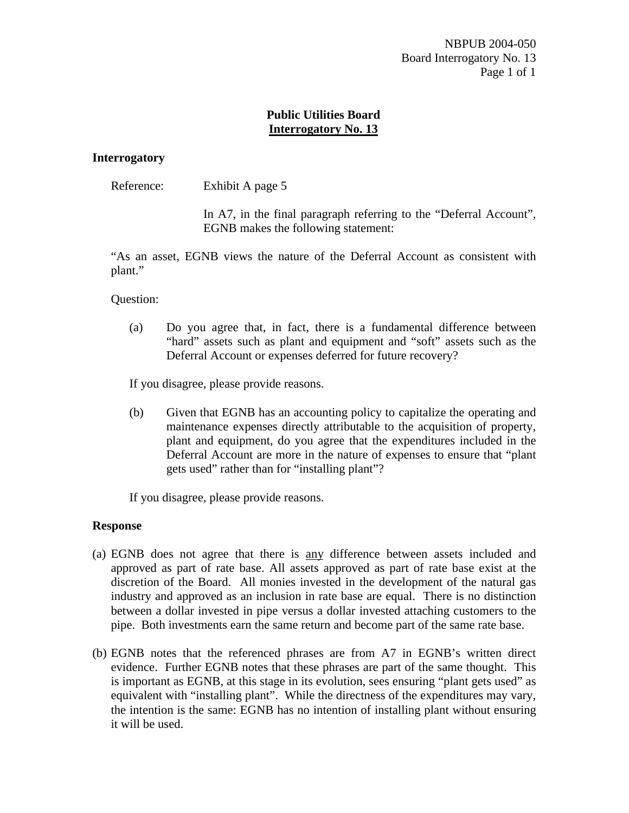#### **Interrogatory**

Reference: Exhibit A page 5

In A7, in the final paragraph referring to the "Deferral Account", EGNB makes the following statement:

"As an asset, EGNB views the nature of the Deferral Account as consistent with plant."

Question:

(a) Do you agree that, in fact, there is a fundamental difference between "hard" assets such as plant and equipment and "soft" assets such as the Deferral Account or expenses deferred for future recovery?

If you disagree, please provide reasons.

(b) Given that EGNB has an accounting policy to capitalize the operating and maintenance expenses directly attributable to the acquisition of property, plant and equipment, do you agree that the expenditures included in the Deferral Account are more in the nature of expenses to ensure that "plant gets used" rather than for "installing plant"?

If you disagree, please provide reasons.

#### **Response**

- (a) EGNB does not agree that there is any difference between assets included and approved as part of rate base. All assets approved as part of rate base exist at the discretion of the Board. All monies invested in the development of the natural gas industry and approved as an inclusion in rate base are equal. There is no distinction between a dollar invested in pipe versus a dollar invested attaching customers to the pipe. Both investments earn the same return and become part of the same rate base.
- (b) EGNB notes that the referenced phrases are from A7 in EGNB's written direct evidence. Further EGNB notes that these phrases are part of the same thought. This is important as EGNB, at this stage in its evolution, sees ensuring "plant gets used" as equivalent with "installing plant". While the directness of the expenditures may vary, the intention is the same: EGNB has no intention of installing plant without ensuring it will be used.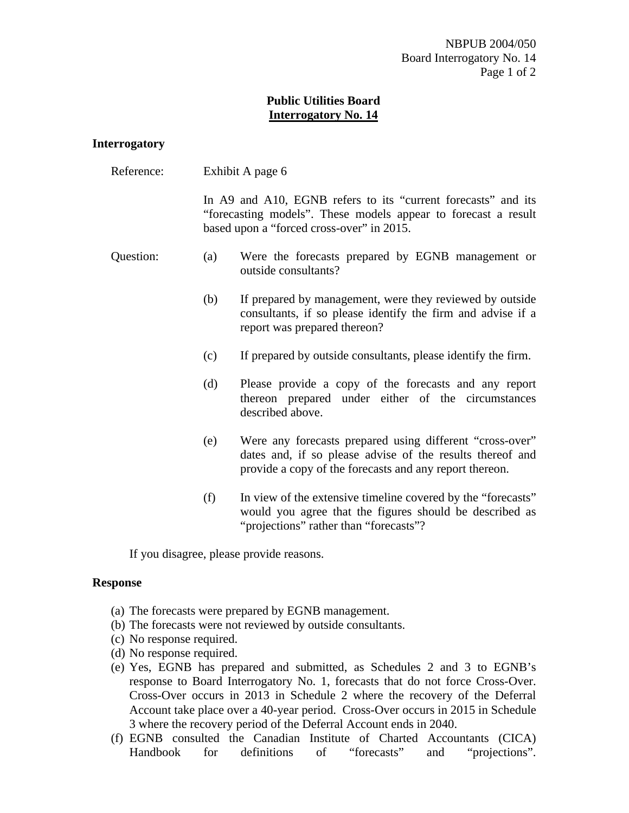#### **Interrogatory**

| Reference: | Exhibit A page 6 |                                                                                                                                                                                  |  |
|------------|------------------|----------------------------------------------------------------------------------------------------------------------------------------------------------------------------------|--|
|            |                  | In A9 and A10, EGNB refers to its "current forecasts" and its<br>"forecasting models". These models appear to forecast a result<br>based upon a "forced cross-over" in 2015.     |  |
| Question:  | (a)              | Were the forecasts prepared by EGNB management or<br>outside consultants?                                                                                                        |  |
|            | (b)              | If prepared by management, were they reviewed by outside<br>consultants, if so please identify the firm and advise if a<br>report was prepared thereon?                          |  |
|            | (c)              | If prepared by outside consultants, please identify the firm.                                                                                                                    |  |
|            | (d)              | Please provide a copy of the forecasts and any report<br>thereon prepared under either of the circumstances<br>described above.                                                  |  |
|            | (e)              | Were any forecasts prepared using different "cross-over"<br>dates and, if so please advise of the results thereof and<br>provide a copy of the forecasts and any report thereon. |  |
|            | (f)              | In view of the extensive timeline covered by the "forecasts"<br>would you agree that the figures should be described as<br>"projections" rather than "forecasts"?                |  |

If you disagree, please provide reasons.

#### **Response**

- (a) The forecasts were prepared by EGNB management.
- (b) The forecasts were not reviewed by outside consultants.
- (c) No response required.
- (d) No response required.
- (e) Yes, EGNB has prepared and submitted, as Schedules 2 and 3 to EGNB's response to Board Interrogatory No. 1, forecasts that do not force Cross-Over. Cross-Over occurs in 2013 in Schedule 2 where the recovery of the Deferral Account take place over a 40-year period. Cross-Over occurs in 2015 in Schedule 3 where the recovery period of the Deferral Account ends in 2040.
- (f) EGNB consulted the Canadian Institute of Charted Accountants (CICA) Handbook for definitions of "forecasts" and "projections".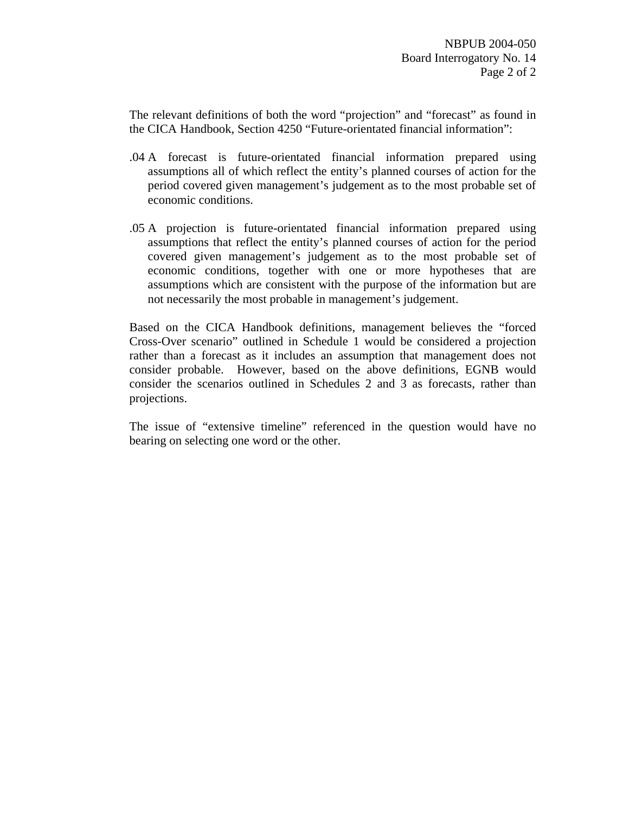The relevant definitions of both the word "projection" and "forecast" as found in the CICA Handbook, Section 4250 "Future-orientated financial information":

- .04 A forecast is future-orientated financial information prepared using assumptions all of which reflect the entity's planned courses of action for the period covered given management's judgement as to the most probable set of economic conditions.
- .05 A projection is future-orientated financial information prepared using assumptions that reflect the entity's planned courses of action for the period covered given management's judgement as to the most probable set of economic conditions, together with one or more hypotheses that are assumptions which are consistent with the purpose of the information but are not necessarily the most probable in management's judgement.

Based on the CICA Handbook definitions, management believes the "forced Cross-Over scenario" outlined in Schedule 1 would be considered a projection rather than a forecast as it includes an assumption that management does not consider probable. However, based on the above definitions, EGNB would consider the scenarios outlined in Schedules 2 and 3 as forecasts, rather than projections.

The issue of "extensive timeline" referenced in the question would have no bearing on selecting one word or the other.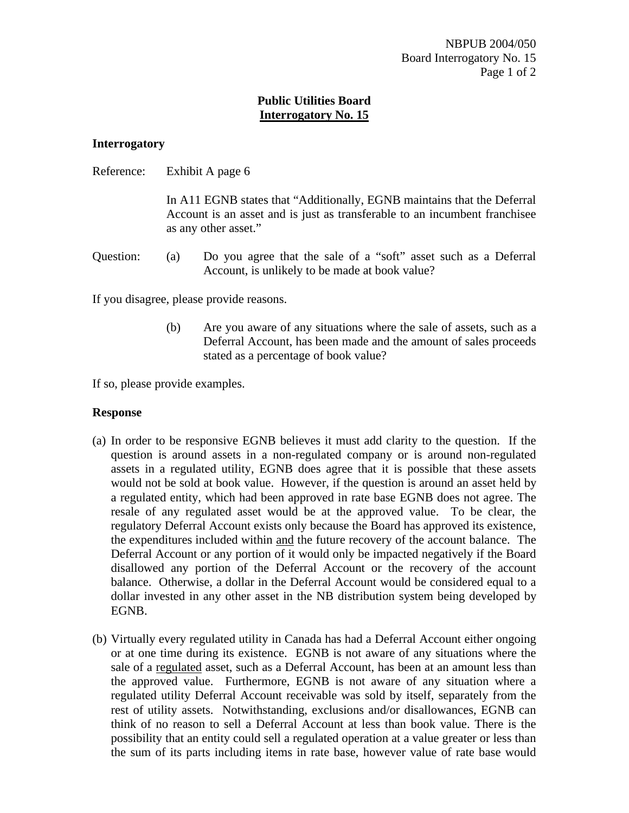#### **Interrogatory**

Reference: Exhibit A page 6

In A11 EGNB states that "Additionally, EGNB maintains that the Deferral Account is an asset and is just as transferable to an incumbent franchisee as any other asset."

Question: (a) Do you agree that the sale of a "soft" asset such as a Deferral Account, is unlikely to be made at book value?

If you disagree, please provide reasons.

(b) Are you aware of any situations where the sale of assets, such as a Deferral Account, has been made and the amount of sales proceeds stated as a percentage of book value?

If so, please provide examples.

#### **Response**

- (a) In order to be responsive EGNB believes it must add clarity to the question. If the question is around assets in a non-regulated company or is around non-regulated assets in a regulated utility, EGNB does agree that it is possible that these assets would not be sold at book value. However, if the question is around an asset held by a regulated entity, which had been approved in rate base EGNB does not agree. The resale of any regulated asset would be at the approved value. To be clear, the regulatory Deferral Account exists only because the Board has approved its existence, the expenditures included within and the future recovery of the account balance. The Deferral Account or any portion of it would only be impacted negatively if the Board disallowed any portion of the Deferral Account or the recovery of the account balance. Otherwise, a dollar in the Deferral Account would be considered equal to a dollar invested in any other asset in the NB distribution system being developed by EGNB.
- (b) Virtually every regulated utility in Canada has had a Deferral Account either ongoing or at one time during its existence. EGNB is not aware of any situations where the sale of a regulated asset, such as a Deferral Account, has been at an amount less than the approved value. Furthermore, EGNB is not aware of any situation where a regulated utility Deferral Account receivable was sold by itself, separately from the rest of utility assets. Notwithstanding, exclusions and/or disallowances, EGNB can think of no reason to sell a Deferral Account at less than book value. There is the possibility that an entity could sell a regulated operation at a value greater or less than the sum of its parts including items in rate base, however value of rate base would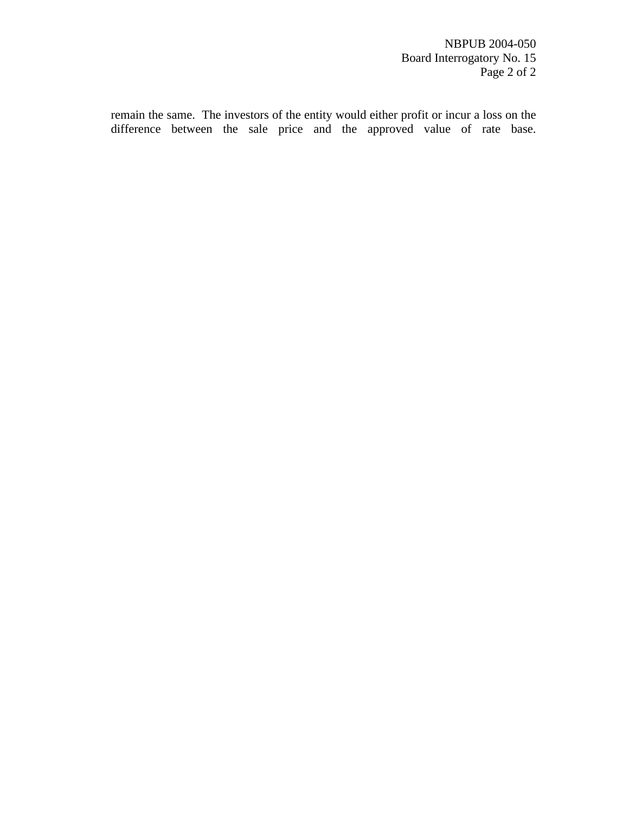remain the same. The investors of the entity would either profit or incur a loss on the difference between the sale price and the approved value of rate base.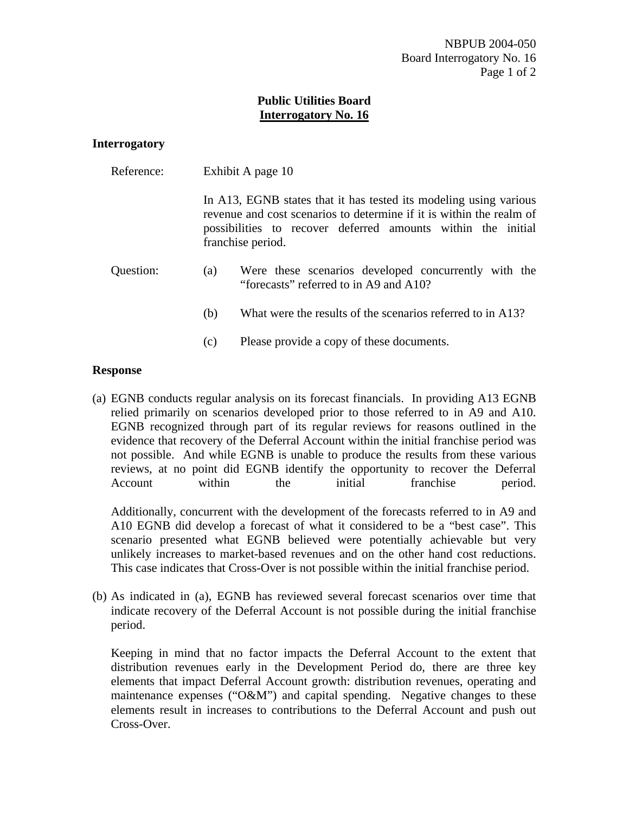#### **Interrogatory**

| Reference: | Exhibit A page 10 |                                                                                                                                                                                                                                |  |
|------------|-------------------|--------------------------------------------------------------------------------------------------------------------------------------------------------------------------------------------------------------------------------|--|
|            |                   | In A13, EGNB states that it has tested its modeling using various<br>revenue and cost scenarios to determine if it is within the realm of<br>possibilities to recover deferred amounts within the initial<br>franchise period. |  |
| Question:  | (a)               | Were these scenarios developed concurrently with the<br>"forecasts" referred to in A9 and A10?                                                                                                                                 |  |
|            | (b)               | What were the results of the scenarios referred to in A13?                                                                                                                                                                     |  |
|            | (c)               | Please provide a copy of these documents.                                                                                                                                                                                      |  |

#### **Response**

(a) EGNB conducts regular analysis on its forecast financials. In providing A13 EGNB relied primarily on scenarios developed prior to those referred to in A9 and A10. EGNB recognized through part of its regular reviews for reasons outlined in the evidence that recovery of the Deferral Account within the initial franchise period was not possible. And while EGNB is unable to produce the results from these various reviews, at no point did EGNB identify the opportunity to recover the Deferral Account within the initial franchise period.

Additionally, concurrent with the development of the forecasts referred to in A9 and A10 EGNB did develop a forecast of what it considered to be a "best case". This scenario presented what EGNB believed were potentially achievable but very unlikely increases to market-based revenues and on the other hand cost reductions. This case indicates that Cross-Over is not possible within the initial franchise period.

(b) As indicated in (a), EGNB has reviewed several forecast scenarios over time that indicate recovery of the Deferral Account is not possible during the initial franchise period.

Keeping in mind that no factor impacts the Deferral Account to the extent that distribution revenues early in the Development Period do, there are three key elements that impact Deferral Account growth: distribution revenues, operating and maintenance expenses ("O&M") and capital spending. Negative changes to these elements result in increases to contributions to the Deferral Account and push out Cross-Over.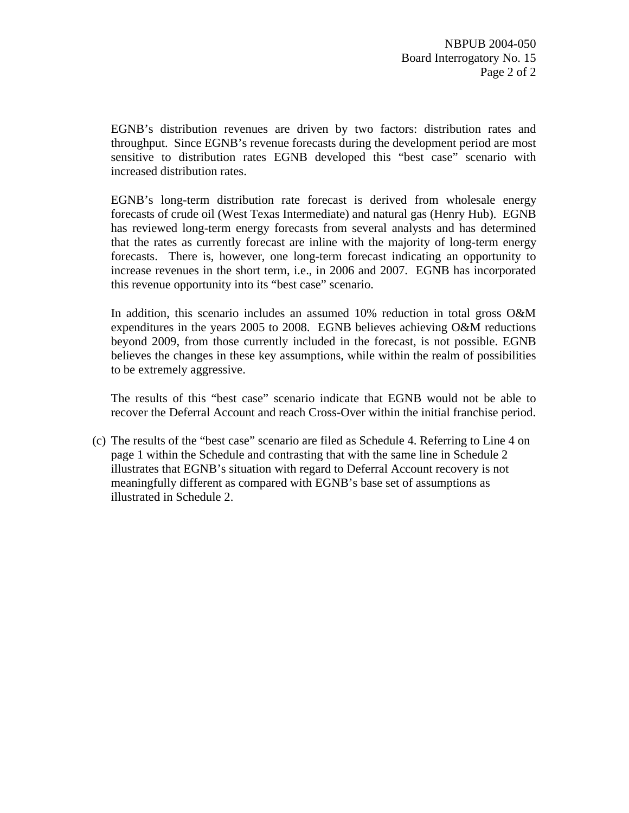EGNB's distribution revenues are driven by two factors: distribution rates and throughput. Since EGNB's revenue forecasts during the development period are most sensitive to distribution rates EGNB developed this "best case" scenario with increased distribution rates.

EGNB's long-term distribution rate forecast is derived from wholesale energy forecasts of crude oil (West Texas Intermediate) and natural gas (Henry Hub). EGNB has reviewed long-term energy forecasts from several analysts and has determined that the rates as currently forecast are inline with the majority of long-term energy forecasts. There is, however, one long-term forecast indicating an opportunity to increase revenues in the short term, i.e., in 2006 and 2007. EGNB has incorporated this revenue opportunity into its "best case" scenario.

In addition, this scenario includes an assumed 10% reduction in total gross O&M expenditures in the years 2005 to 2008. EGNB believes achieving O&M reductions beyond 2009, from those currently included in the forecast, is not possible. EGNB believes the changes in these key assumptions, while within the realm of possibilities to be extremely aggressive.

The results of this "best case" scenario indicate that EGNB would not be able to recover the Deferral Account and reach Cross-Over within the initial franchise period.

(c) The results of the "best case" scenario are filed as Schedule 4. Referring to Line 4 on page 1 within the Schedule and contrasting that with the same line in Schedule 2 illustrates that EGNB's situation with regard to Deferral Account recovery is not meaningfully different as compared with EGNB's base set of assumptions as illustrated in Schedule 2.